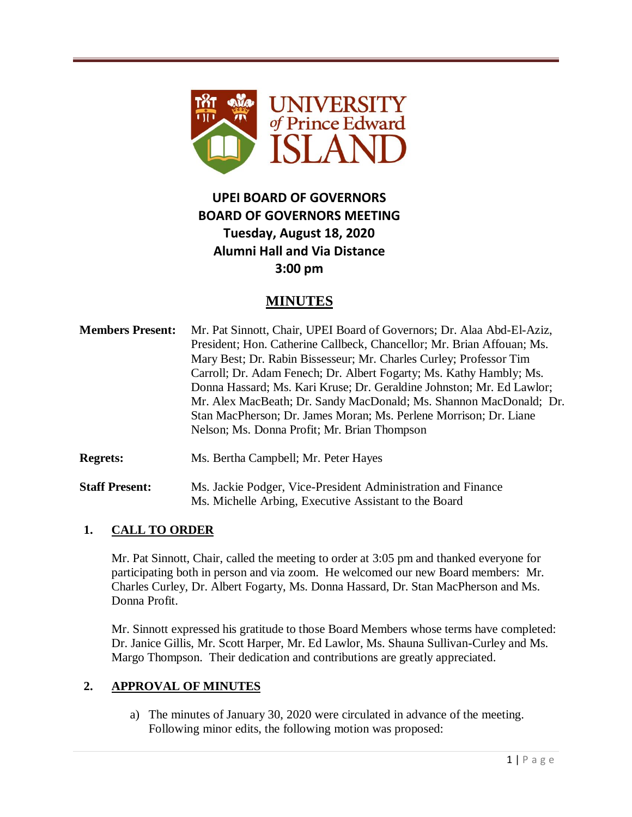

# **UPEI BOARD OF GOVERNORS BOARD OF GOVERNORS MEETING Tuesday, August 18, 2020 Alumni Hall and Via Distance 3:00 pm**

# **MINUTES**

**Members Present:** Mr. Pat Sinnott, Chair, UPEI Board of Governors; Dr. Alaa Abd-El-Aziz, President; Hon. Catherine Callbeck, Chancellor; Mr. Brian Affouan; Ms. Mary Best; Dr. Rabin Bissesseur; Mr. Charles Curley; Professor Tim Carroll; Dr. Adam Fenech; Dr. Albert Fogarty; Ms. Kathy Hambly; Ms. Donna Hassard; Ms. Kari Kruse; Dr. Geraldine Johnston; Mr. Ed Lawlor; Mr. Alex MacBeath; Dr. Sandy MacDonald; Ms. Shannon MacDonald; Dr. Stan MacPherson; Dr. James Moran; Ms. Perlene Morrison; Dr. Liane Nelson; Ms. Donna Profit; Mr. Brian Thompson

**Regrets:** Ms. Bertha Campbell; Mr. Peter Hayes

**Staff Present:** Ms. Jackie Podger, Vice-President Administration and Finance Ms. Michelle Arbing, Executive Assistant to the Board

### **1. CALL TO ORDER**

Mr. Pat Sinnott, Chair, called the meeting to order at 3:05 pm and thanked everyone for participating both in person and via zoom. He welcomed our new Board members: Mr. Charles Curley, Dr. Albert Fogarty, Ms. Donna Hassard, Dr. Stan MacPherson and Ms. Donna Profit.

Mr. Sinnott expressed his gratitude to those Board Members whose terms have completed: Dr. Janice Gillis, Mr. Scott Harper, Mr. Ed Lawlor, Ms. Shauna Sullivan-Curley and Ms. Margo Thompson. Their dedication and contributions are greatly appreciated.

### **2. APPROVAL OF MINUTES**

a) The minutes of January 30, 2020 were circulated in advance of the meeting. Following minor edits, the following motion was proposed: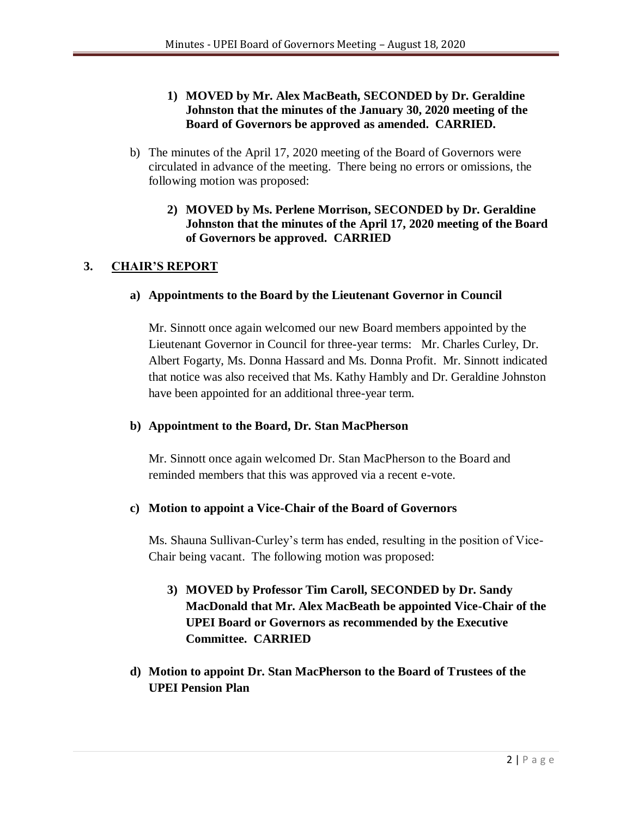### **1) MOVED by Mr. Alex MacBeath, SECONDED by Dr. Geraldine Johnston that the minutes of the January 30, 2020 meeting of the Board of Governors be approved as amended. CARRIED.**

- b) The minutes of the April 17, 2020 meeting of the Board of Governors were circulated in advance of the meeting. There being no errors or omissions, the following motion was proposed:
	- **2) MOVED by Ms. Perlene Morrison, SECONDED by Dr. Geraldine Johnston that the minutes of the April 17, 2020 meeting of the Board of Governors be approved. CARRIED**

### **3. CHAIR'S REPORT**

#### **a) Appointments to the Board by the Lieutenant Governor in Council**

Mr. Sinnott once again welcomed our new Board members appointed by the Lieutenant Governor in Council for three-year terms: Mr. Charles Curley, Dr. Albert Fogarty, Ms. Donna Hassard and Ms. Donna Profit. Mr. Sinnott indicated that notice was also received that Ms. Kathy Hambly and Dr. Geraldine Johnston have been appointed for an additional three-year term.

#### **b) Appointment to the Board, Dr. Stan MacPherson**

Mr. Sinnott once again welcomed Dr. Stan MacPherson to the Board and reminded members that this was approved via a recent e-vote.

### **c) Motion to appoint a Vice-Chair of the Board of Governors**

Ms. Shauna Sullivan-Curley's term has ended, resulting in the position of Vice-Chair being vacant. The following motion was proposed:

- **3) MOVED by Professor Tim Caroll, SECONDED by Dr. Sandy MacDonald that Mr. Alex MacBeath be appointed Vice-Chair of the UPEI Board or Governors as recommended by the Executive Committee. CARRIED**
- **d) Motion to appoint Dr. Stan MacPherson to the Board of Trustees of the UPEI Pension Plan**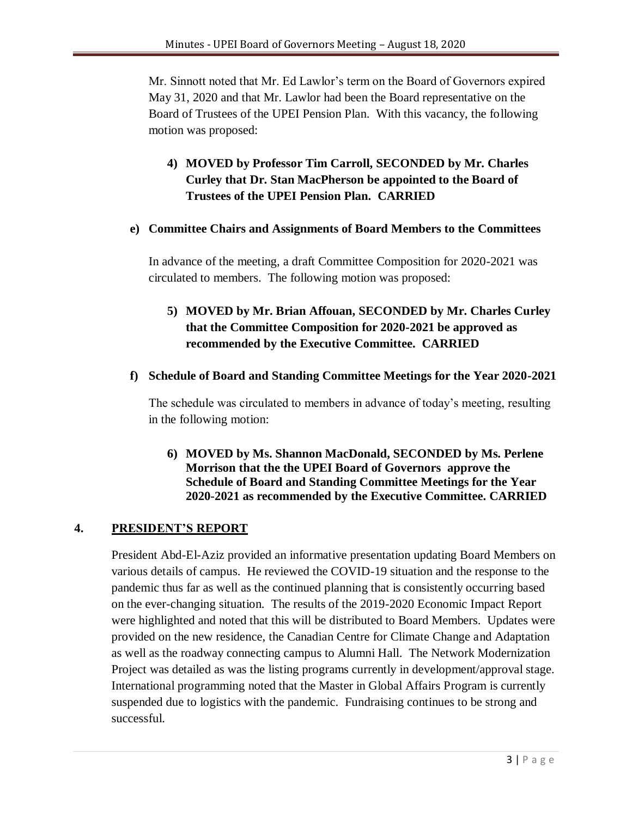Mr. Sinnott noted that Mr. Ed Lawlor's term on the Board of Governors expired May 31, 2020 and that Mr. Lawlor had been the Board representative on the Board of Trustees of the UPEI Pension Plan. With this vacancy, the following motion was proposed:

# **4) MOVED by Professor Tim Carroll, SECONDED by Mr. Charles Curley that Dr. Stan MacPherson be appointed to the Board of Trustees of the UPEI Pension Plan. CARRIED**

#### **e) Committee Chairs and Assignments of Board Members to the Committees**

In advance of the meeting, a draft Committee Composition for 2020-2021 was circulated to members. The following motion was proposed:

# **5) MOVED by Mr. Brian Affouan, SECONDED by Mr. Charles Curley that the Committee Composition for 2020-2021 be approved as recommended by the Executive Committee. CARRIED**

#### **f) Schedule of Board and Standing Committee Meetings for the Year 2020-2021**

The schedule was circulated to members in advance of today's meeting, resulting in the following motion:

**6) MOVED by Ms. Shannon MacDonald, SECONDED by Ms. Perlene Morrison that the the UPEI Board of Governors approve the Schedule of Board and Standing Committee Meetings for the Year 2020-2021 as recommended by the Executive Committee. CARRIED**

### **4. PRESIDENT'S REPORT**

President Abd-El-Aziz provided an informative presentation updating Board Members on various details of campus. He reviewed the COVID-19 situation and the response to the pandemic thus far as well as the continued planning that is consistently occurring based on the ever-changing situation. The results of the 2019-2020 Economic Impact Report were highlighted and noted that this will be distributed to Board Members. Updates were provided on the new residence, the Canadian Centre for Climate Change and Adaptation as well as the roadway connecting campus to Alumni Hall. The Network Modernization Project was detailed as was the listing programs currently in development/approval stage. International programming noted that the Master in Global Affairs Program is currently suspended due to logistics with the pandemic. Fundraising continues to be strong and successful.